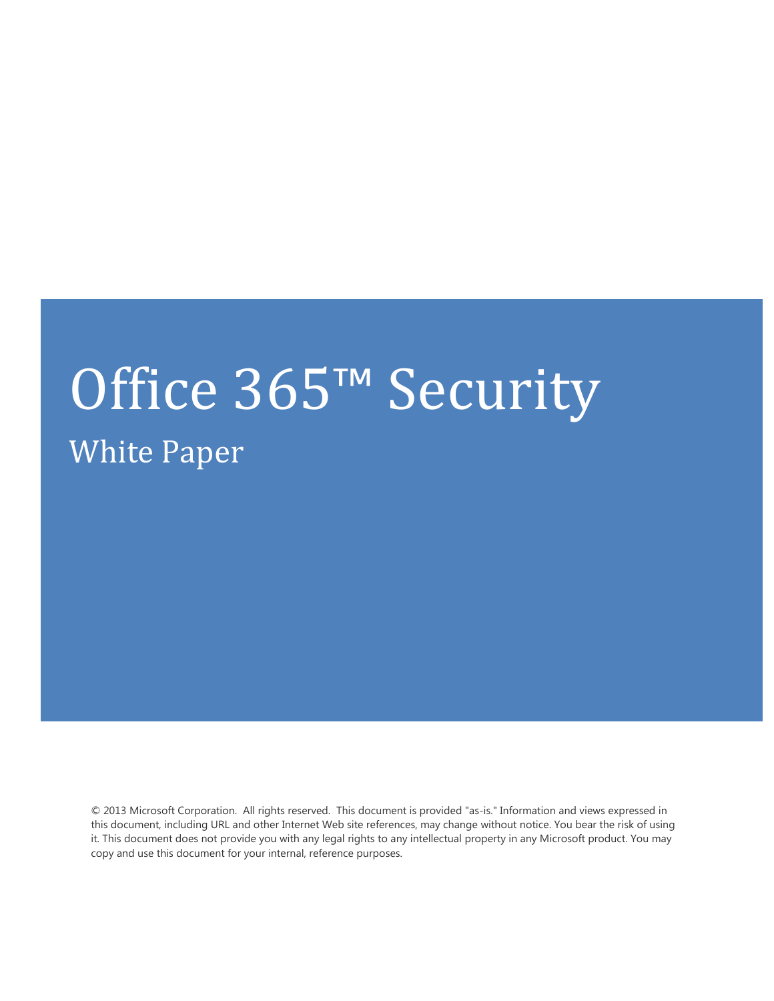# Office 365™ Security White Paper

© 2013 Microsoft Corporation. All rights reserved. This document is provided "as-is." Information and views expressed in this document, including URL and other Internet Web site references, may change without notice. You bear the risk of using it. This document does not provide you with any legal rights to any intellectual property in any Microsoft product. You may copy and use this document for your internal, reference purposes.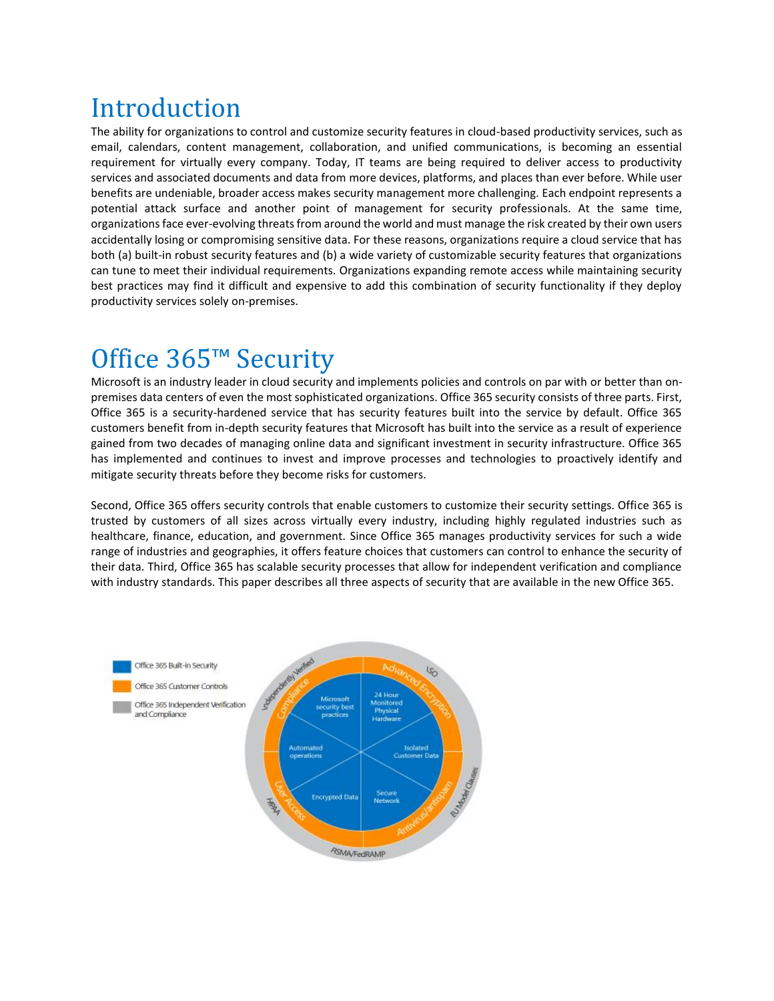# Introduction

The ability for organizations to control and customize security features in cloud-based productivity services, such as email, calendars, content management, collaboration, and unified communications, is becoming an essential requirement for virtually every company. Today, IT teams are being required to deliver access to productivity services and associated documents and data from more devices, platforms, and places than ever before. While user benefits are undeniable, broader access makes security management more challenging. Each endpoint represents a potential attack surface and another point of management for security professionals. At the same time, organizations face ever-evolving threats from around the world and must manage the risk created by their own users accidentally losing or compromising sensitive data. For these reasons, organizations require a cloud service that has both (a) built-in robust security features and (b) a wide variety of customizable security features that organizations can tune to meet their individual requirements. Organizations expanding remote access while maintaining security best practices may find it difficult and expensive to add this combination of security functionality if they deploy productivity services solely on-premises.

# Office 365™ Security

Microsoft is an industry leader in cloud security and implements policies and controls on par with or better than onpremises data centers of even the most sophisticated organizations. Office 365 security consists of three parts. First, Office 365 is a security-hardened service that has security features built into the service by default. Office 365 customers benefit from in-depth security features that Microsoft has built into the service as a result of experience gained from two decades of managing online data and significant investment in security infrastructure. Office 365 has implemented and continues to invest and improve processes and technologies to proactively identify and mitigate security threats before they become risks for customers.

Second, Office 365 offers security controls that enable customers to customize their security settings. Office 365 is trusted by customers of all sizes across virtually every industry, including highly regulated industries such as healthcare, finance, education, and government. Since Office 365 manages productivity services for such a wide range of industries and geographies, it offers feature choices that customers can control to enhance the security of their data. Third, Office 365 has scalable security processes that allow for independent verification and compliance with industry standards. This paper describes all three aspects of security that are available in the new Office 365.

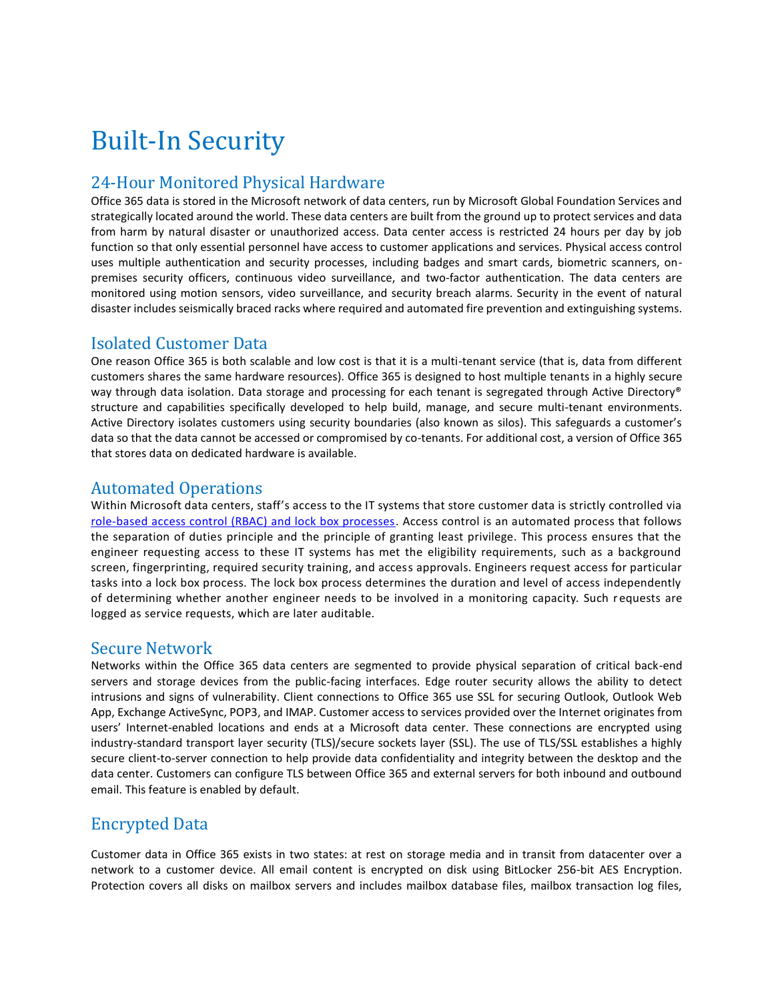# Built-In Security

# 24-Hour Monitored Physical Hardware

Office 365 data is stored in the Microsoft network of data centers, run by Microsoft Global Foundation Services and strategically located around the world. These data centers are built from the ground up to protect services and data from harm by natural disaster or unauthorized access. Data center access is restricted 24 hours per day by job function so that only essential personnel have access to customer applications and services. Physical access control uses multiple authentication and security processes, including badges and smart cards, biometric scanners, onpremises security officers, continuous video surveillance, and two-factor authentication. The data centers are monitored using motion sensors, video surveillance, and security breach alarms. Security in the event of natural disaster includes seismically braced racks where required and automated fire prevention and extinguishing systems.

# Isolated Customer Data

One reason Office 365 is both scalable and low cost is that it is a multi-tenant service (that is, data from different customers shares the same hardware resources). Office 365 is designed to host multiple tenants in a highly secure way through data isolation. Data storage and processing for each tenant is segregated through Active Directory® structure and capabilities specifically developed to help build, manage, and secure multi-tenant environments. Active Directory isolates customers using security boundaries (also known as silos). This safeguards a customer's data so that the data cannot be accessed or compromised by co-tenants. For additional cost, a version of Office 365 that stores data on dedicated hardware is available.

# Automated Operations

Within Microsoft data centers, staff's access to the IT systems that store customer data is strictly controlled via [role-based access control \(RBAC\) and lock box processes.](http://blogs.technet.com/b/perryclarke/archive/2012/05/16/managing-access-to-the-exchange-online-service.aspx) Access control is an automated process that follows the separation of duties principle and the principle of granting least privilege. This process ensures that the engineer requesting access to these IT systems has met the eligibility requirements, such as a background screen, fingerprinting, required security training, and access approvals. Engineers request access for particular tasks into a lock box process. The lock box process determines the duration and level of access independently of determining whether another engineer needs to be involved in a monitoring capacity. Such r equests are logged as service requests, which are later auditable.

# Secure Network

Networks within the Office 365 data centers are segmented to provide physical separation of critical back-end servers and storage devices from the public-facing interfaces. Edge router security allows the ability to detect intrusions and signs of vulnerability. Client connections to Office 365 use SSL for securing Outlook, Outlook Web App, Exchange ActiveSync, POP3, and IMAP. Customer access to services provided over the Internet originates from users' Internet-enabled locations and ends at a Microsoft data center. These connections are encrypted using industry-standard transport layer security (TLS)/secure sockets layer (SSL). The use of TLS/SSL establishes a highly secure client-to-server connection to help provide data confidentiality and integrity between the desktop and the data center. Customers can configure TLS between Office 365 and external servers for both inbound and outbound email. This feature is enabled by default.

# Encrypted Data

Customer data in Office 365 exists in two states: at rest on storage media and in transit from datacenter over a network to a customer device. All email content is encrypted on disk using BitLocker 256-bit AES Encryption. Protection covers all disks on mailbox servers and includes mailbox database files, mailbox transaction log files,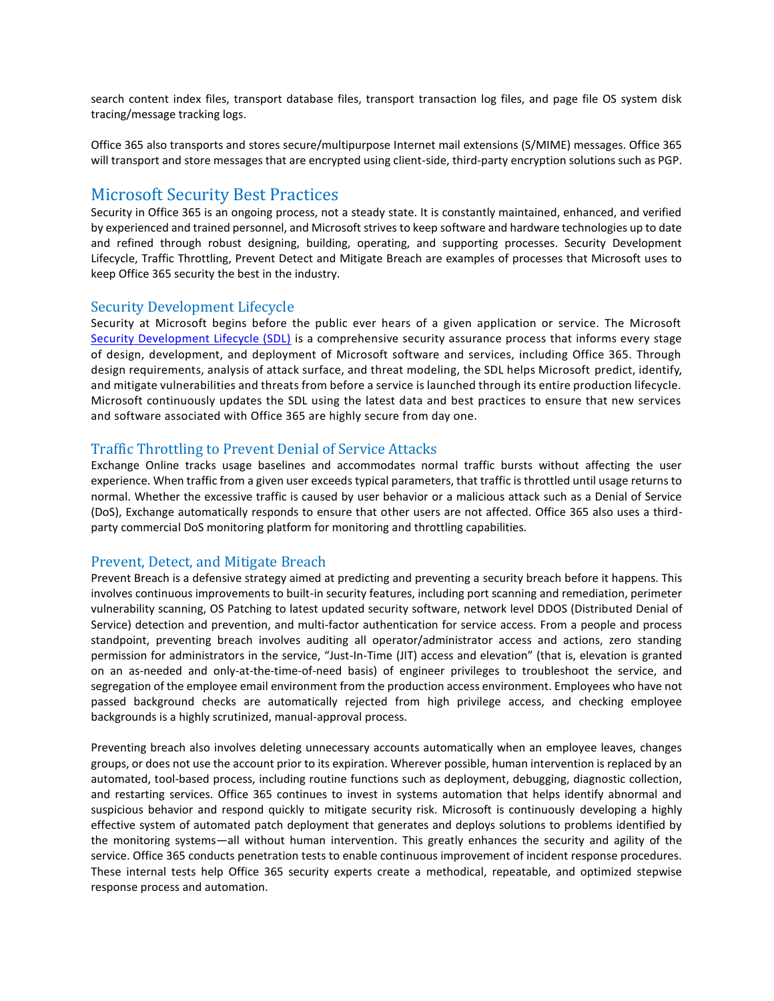search content index files, transport database files, transport transaction log files, and page file OS system disk tracing/message tracking logs.

Office 365 also transports and stores secure/multipurpose Internet mail extensions (S/MIME) messages. Office 365 will transport and store messages that are encrypted using client-side, third-party encryption solutions such as PGP.

### Microsoft Security Best Practices

Security in Office 365 is an ongoing process, not a steady state. It is constantly maintained, enhanced, and verified by experienced and trained personnel, and Microsoft strives to keep software and hardware technologies up to date and refined through robust designing, building, operating, and supporting processes. Security Development Lifecycle, Traffic Throttling, Prevent Detect and Mitigate Breach are examples of processes that Microsoft uses to keep Office 365 security the best in the industry.

#### Security Development Lifecycle

Security at Microsoft begins before the public ever hears of a given application or service. The Microsoft [Security Development Lifecycle \(SDL\)](http://www.microsoft.com/security/sdl/default.aspx) is a comprehensive security assurance process that informs every stage of design, development, and deployment of Microsoft software and services, including Office 365. Through design requirements, analysis of attack surface, and threat modeling, the SDL helps Microsoft predict, identify, and mitigate vulnerabilities and threats from before a service is launched through its entire production lifecycle. Microsoft continuously updates the SDL using the latest data and best practices to ensure that new services and software associated with Office 365 are highly secure from day one.

#### Traffic Throttling to Prevent Denial of Service Attacks

Exchange Online tracks usage baselines and accommodates normal traffic bursts without affecting the user experience. When traffic from a given user exceeds typical parameters, that traffic is throttled until usage returns to normal. Whether the excessive traffic is caused by user behavior or a malicious attack such as a Denial of Service (DoS), Exchange automatically responds to ensure that other users are not affected. Office 365 also uses a thirdparty commercial DoS monitoring platform for monitoring and throttling capabilities.

#### Prevent, Detect, and Mitigate Breach

Prevent Breach is a defensive strategy aimed at predicting and preventing a security breach before it happens. This involves continuous improvements to built-in security features, including port scanning and remediation, perimeter vulnerability scanning, OS Patching to latest updated security software, network level DDOS (Distributed Denial of Service) detection and prevention, and multi-factor authentication for service access. From a people and process standpoint, preventing breach involves auditing all operator/administrator access and actions, zero standing permission for administrators in the service, "Just-In-Time (JIT) access and elevation" (that is, elevation is granted on an as-needed and only-at-the-time-of-need basis) of engineer privileges to troubleshoot the service, and segregation of the employee email environment from the production access environment. Employees who have not passed background checks are automatically rejected from high privilege access, and checking employee backgrounds is a highly scrutinized, manual-approval process.

Preventing breach also involves deleting unnecessary accounts automatically when an employee leaves, changes groups, or does not use the account prior to its expiration. Wherever possible, human intervention is replaced by an automated, tool-based process, including routine functions such as deployment, debugging, diagnostic collection, and restarting services. Office 365 continues to invest in systems automation that helps identify abnormal and suspicious behavior and respond quickly to mitigate security risk. Microsoft is continuously developing a highly effective system of automated patch deployment that generates and deploys solutions to problems identified by the monitoring systems—all without human intervention. This greatly enhances the security and agility of the service. Office 365 conducts penetration tests to enable continuous improvement of incident response procedures. These internal tests help Office 365 security experts create a methodical, repeatable, and optimized stepwise response process and automation.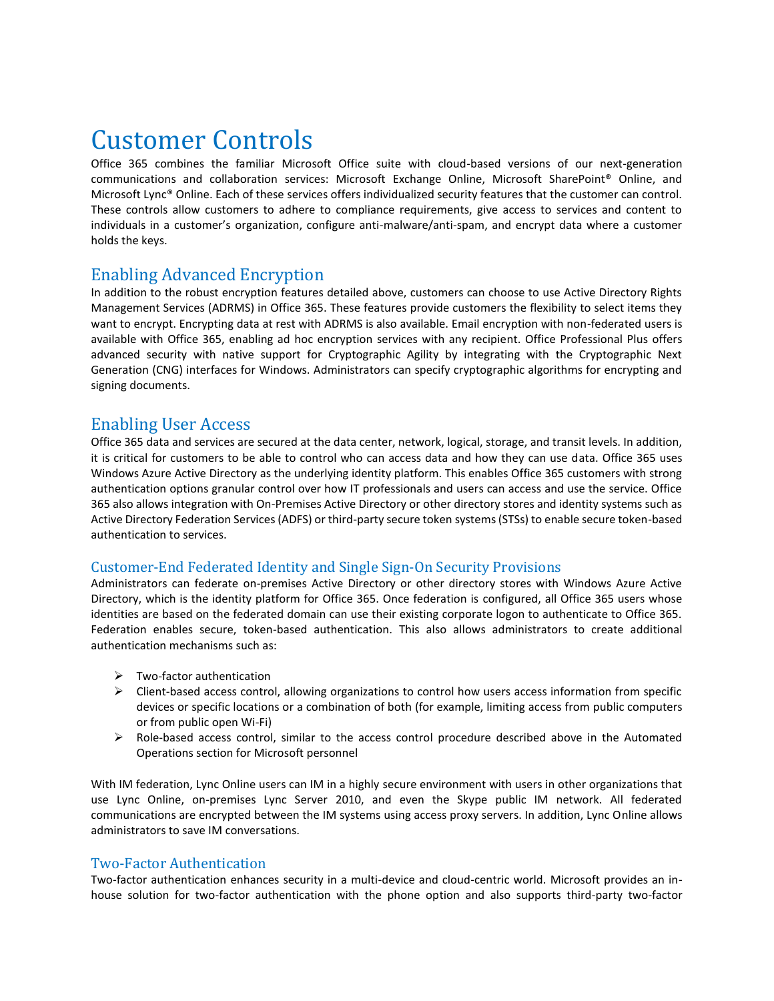# Customer Controls

Office 365 combines the familiar Microsoft Office suite with cloud-based versions of our next-generation communications and collaboration services: Microsoft Exchange Online, Microsoft SharePoint® Online, and Microsoft Lync® Online. Each of these services offers individualized security features that the customer can control. These controls allow customers to adhere to compliance requirements, give access to services and content to individuals in a customer's organization, configure anti-malware/anti-spam, and encrypt data where a customer holds the keys.

# Enabling Advanced Encryption

In addition to the robust encryption features detailed above, customers can choose to use Active Directory Rights Management Services (ADRMS) in Office 365. These features provide customers the flexibility to select items they want to encrypt. Encrypting data at rest with ADRMS is also available. Email encryption with non-federated users is available with Office 365, enabling ad hoc encryption services with any recipient. Office Professional Plus offers advanced security with native support for Cryptographic Agility by integrating with the Cryptographic Next Generation (CNG) interfaces for Windows. Administrators can specify cryptographic algorithms for encrypting and signing documents.

### Enabling User Access

Office 365 data and services are secured at the data center, network, logical, storage, and transit levels. In addition, it is critical for customers to be able to control who can access data and how they can use data. Office 365 uses Windows Azure Active Directory as the underlying identity platform. This enables Office 365 customers with strong authentication options granular control over how IT professionals and users can access and use the service. Office 365 also allows integration with On-Premises Active Directory or other directory stores and identity systems such as Active Directory Federation Services (ADFS) or third-party secure token systems (STSs) to enable secure token-based authentication to services.

#### Customer-End Federated Identity and Single Sign-On Security Provisions

Administrators can federate on-premises Active Directory or other directory stores with Windows Azure Active Directory, which is the identity platform for Office 365. Once federation is configured, all Office 365 users whose identities are based on the federated domain can use their existing corporate logon to authenticate to Office 365. Federation enables secure, token-based authentication. This also allows administrators to create additional authentication mechanisms such as:

- $\triangleright$  Two-factor authentication
- $\triangleright$  Client-based access control, allowing organizations to control how users access information from specific devices or specific locations or a combination of both (for example, limiting access from public computers or from public open Wi-Fi)
- $\triangleright$  Role-based access control, similar to the access control procedure described above in the Automated Operations section for Microsoft personnel

With IM federation, Lync Online users can IM in a highly secure environment with users in other organizations that use Lync Online, on-premises Lync Server 2010, and even the Skype public IM network. All federated communications are encrypted between the IM systems using access proxy servers. In addition, Lync Online allows administrators to save IM conversations.

#### Two-Factor Authentication

Two-factor authentication enhances security in a multi-device and cloud-centric world. Microsoft provides an inhouse solution for two-factor authentication with the phone option and also supports third-party two-factor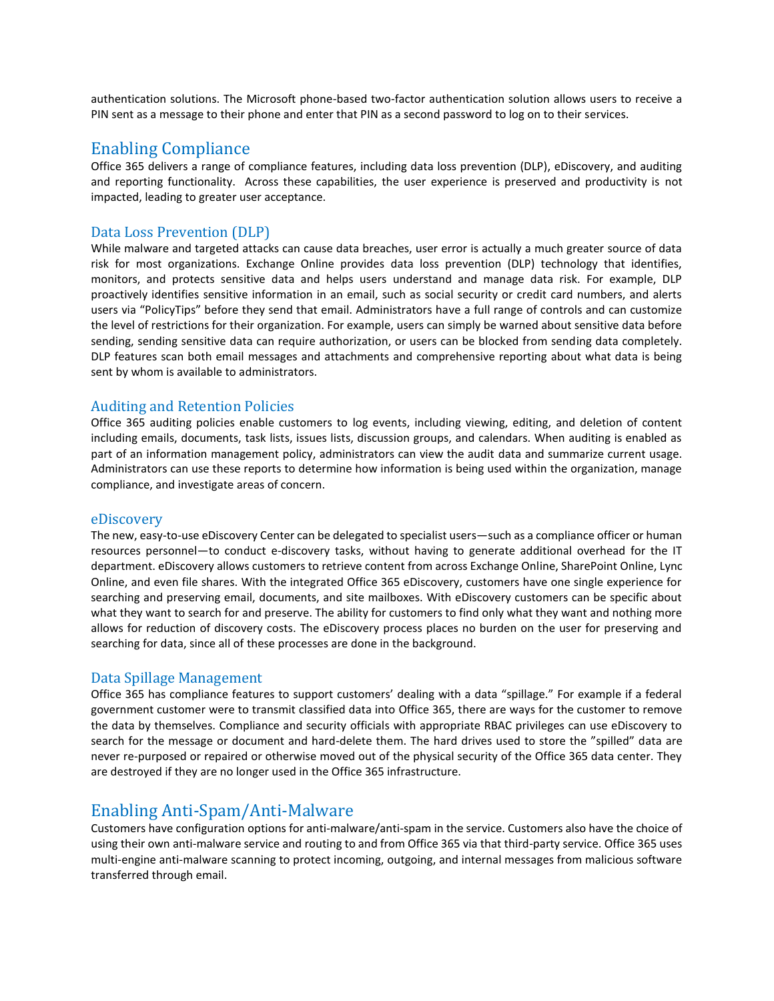authentication solutions. The Microsoft phone-based two-factor authentication solution allows users to receive a PIN sent as a message to their phone and enter that PIN as a second password to log on to their services.

#### Enabling Compliance

Office 365 delivers a range of compliance features, including data loss prevention (DLP), eDiscovery, and auditing and reporting functionality. Across these capabilities, the user experience is preserved and productivity is not impacted, leading to greater user acceptance.

#### Data Loss Prevention (DLP)

While malware and targeted attacks can cause data breaches, user error is actually a much greater source of data risk for most organizations. Exchange Online provides data loss prevention (DLP) technology that identifies, monitors, and protects sensitive data and helps users understand and manage data risk. For example, DLP proactively identifies sensitive information in an email, such as social security or credit card numbers, and alerts users via "PolicyTips" before they send that email. Administrators have a full range of controls and can customize the level of restrictions for their organization. For example, users can simply be warned about sensitive data before sending, sending sensitive data can require authorization, or users can be blocked from sending data completely. DLP features scan both email messages and attachments and comprehensive reporting about what data is being sent by whom is available to administrators.

#### Auditing and Retention Policies

Office 365 auditing policies enable customers to log events, including viewing, editing, and deletion of content including emails, documents, task lists, issues lists, discussion groups, and calendars. When auditing is enabled as part of an information management policy, administrators can view the audit data and summarize current usage. Administrators can use these reports to determine how information is being used within the organization, manage compliance, and investigate areas of concern.

#### eDiscovery

The new, easy-to-use eDiscovery Center can be delegated to specialist users—such as a compliance officer or human resources personnel—to conduct e-discovery tasks, without having to generate additional overhead for the IT department. eDiscovery allows customers to retrieve content from across Exchange Online, SharePoint Online, Lync Online, and even file shares. With the integrated Office 365 eDiscovery, customers have one single experience for searching and preserving email, documents, and site mailboxes. With eDiscovery customers can be specific about what they want to search for and preserve. The ability for customers to find only what they want and nothing more allows for reduction of discovery costs. The eDiscovery process places no burden on the user for preserving and searching for data, since all of these processes are done in the background.

#### Data Spillage Management

Office 365 has compliance features to support customers' dealing with a data "spillage." For example if a federal government customer were to transmit classified data into Office 365, there are ways for the customer to remove the data by themselves. Compliance and security officials with appropriate RBAC privileges can use eDiscovery to search for the message or document and hard-delete them. The hard drives used to store the "spilled" data are never re-purposed or repaired or otherwise moved out of the physical security of the Office 365 data center. They are destroyed if they are no longer used in the Office 365 infrastructure.

# Enabling Anti-Spam/Anti-Malware

Customers have configuration options for anti-malware/anti-spam in the service. Customers also have the choice of using their own anti-malware service and routing to and from Office 365 via that third-party service. Office 365 uses multi-engine anti-malware scanning to protect incoming, outgoing, and internal messages from malicious software transferred through email.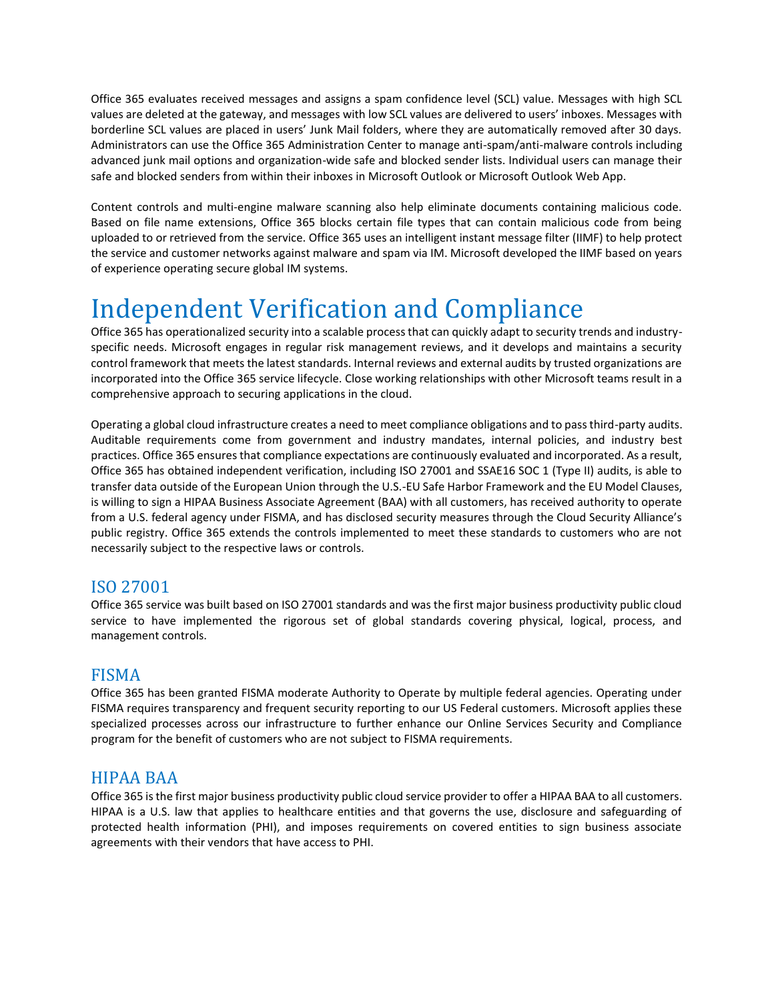Office 365 evaluates received messages and assigns a spam confidence level (SCL) value. Messages with high SCL values are deleted at the gateway, and messages with low SCL values are delivered to users' inboxes. Messages with borderline SCL values are placed in users' Junk Mail folders, where they are automatically removed after 30 days. Administrators can use the Office 365 Administration Center to manage anti-spam/anti-malware controls including advanced junk mail options and organization-wide safe and blocked sender lists. Individual users can manage their safe and blocked senders from within their inboxes in Microsoft Outlook or Microsoft Outlook Web App.

Content controls and multi-engine malware scanning also help eliminate documents containing malicious code. Based on file name extensions, Office 365 blocks certain file types that can contain malicious code from being uploaded to or retrieved from the service. Office 365 uses an intelligent instant message filter (IIMF) to help protect the service and customer networks against malware and spam via IM. Microsoft developed the IIMF based on years of experience operating secure global IM systems.

# Independent Verification and Compliance

Office 365 has operationalized security into a scalable process that can quickly adapt to security trends and industryspecific needs. Microsoft engages in regular risk management reviews, and it develops and maintains a security control framework that meets the latest standards. Internal reviews and external audits by trusted organizations are incorporated into the Office 365 service lifecycle. Close working relationships with other Microsoft teams result in a comprehensive approach to securing applications in the cloud.

Operating a global cloud infrastructure creates a need to meet compliance obligations and to pass third-party audits. Auditable requirements come from government and industry mandates, internal policies, and industry best practices. Office 365 ensures that compliance expectations are continuously evaluated and incorporated. As a result, Office 365 has obtained independent verification, including ISO 27001 and SSAE16 SOC 1 (Type II) audits, is able to transfer data outside of the European Union through the U.S.-EU Safe Harbor Framework and the EU Model Clauses, is willing to sign a HIPAA Business Associate Agreement (BAA) with all customers, has received authority to operate from a U.S. federal agency under FISMA, and has disclosed security measures through the Cloud Security Alliance's public registry. Office 365 extends the controls implemented to meet these standards to customers who are not necessarily subject to the respective laws or controls.

# ISO 27001

Office 365 service was built based on ISO 27001 standards and was the first major business productivity public cloud service to have implemented the rigorous set of global standards covering physical, logical, process, and management controls.

# FISMA

Office 365 has been granted FISMA moderate Authority to Operate by multiple federal agencies. Operating under FISMA requires transparency and frequent security reporting to our US Federal customers. Microsoft applies these specialized processes across our infrastructure to further enhance our Online Services Security and Compliance program for the benefit of customers who are not subject to FISMA requirements.

# HIPAA BAA

Office 365 is the first major business productivity public cloud service provider to offer a HIPAA BAA to all customers. HIPAA is a U.S. law that applies to healthcare entities and that governs the use, disclosure and safeguarding of protected health information (PHI), and imposes requirements on covered entities to sign business associate agreements with their vendors that have access to PHI.